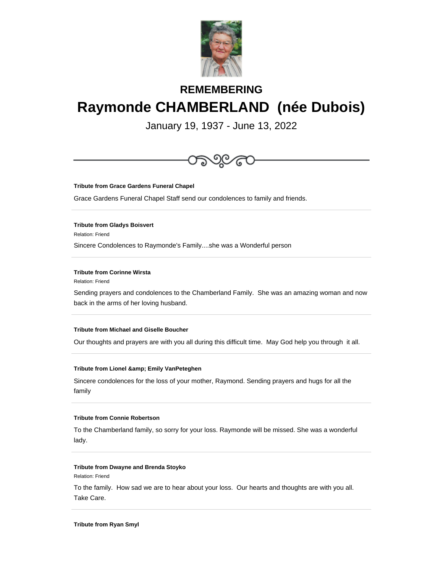

# **REMEMBERING Raymonde CHAMBERLAND (née Dubois)**

January 19, 1937 - June 13, 2022



**Tribute from Grace Gardens Funeral Chapel**

Grace Gardens Funeral Chapel Staff send our condolences to family and friends.

**Tribute from Gladys Boisvert**

Relation: Friend

Sincere Condolences to Raymonde's Family....she was a Wonderful person

## **Tribute from Corinne Wirsta**

Relation: Friend

Sending prayers and condolences to the Chamberland Family. She was an amazing woman and now back in the arms of her loving husband.

## **Tribute from Michael and Giselle Boucher**

Our thoughts and prayers are with you all during this difficult time. May God help you through it all.

#### **Tribute from Lionel & amp; Emily VanPeteghen**

Sincere condolences for the loss of your mother, Raymond. Sending prayers and hugs for all the family

## **Tribute from Connie Robertson**

To the Chamberland family, so sorry for your loss. Raymonde will be missed. She was a wonderful lady.

#### **Tribute from Dwayne and Brenda Stoyko**

Relation: Friend

To the family. How sad we are to hear about your loss. Our hearts and thoughts are with you all. Take Care.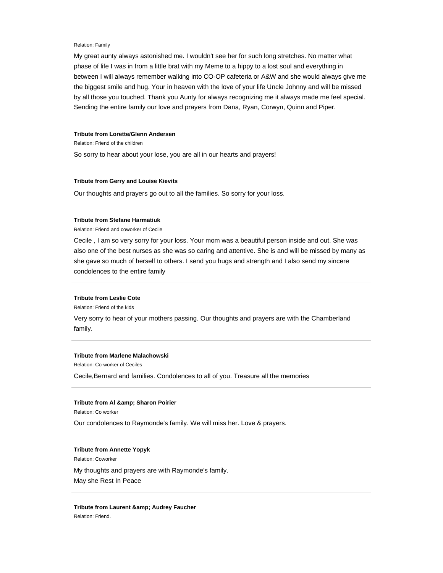#### Relation: Family

My great aunty always astonished me. I wouldn't see her for such long stretches. No matter what phase of life I was in from a little brat with my Meme to a hippy to a lost soul and everything in between I will always remember walking into CO-OP cafeteria or A&W and she would always give me the biggest smile and hug. Your in heaven with the love of your life Uncle Johnny and will be missed by all those you touched. Thank you Aunty for always recognizing me it always made me feel special. Sending the entire family our love and prayers from Dana, Ryan, Corwyn, Quinn and Piper.

#### **Tribute from Lorette/Glenn Andersen**

Relation: Friend of the children

So sorry to hear about your lose, you are all in our hearts and prayers!

#### **Tribute from Gerry and Louise Kievits**

Our thoughts and prayers go out to all the families. So sorry for your loss.

## **Tribute from Stefane Harmatiuk**

Relation: Friend and coworker of Cecile

Cecile , I am so very sorry for your loss. Your mom was a beautiful person inside and out. She was also one of the best nurses as she was so caring and attentive. She is and will be missed by many as she gave so much of herself to others. I send you hugs and strength and I also send my sincere condolences to the entire family

## **Tribute from Leslie Cote**

Relation: Friend of the kids

Very sorry to hear of your mothers passing. Our thoughts and prayers are with the Chamberland family.

## **Tribute from Marlene Malachowski**

Relation: Co-worker of Ceciles

Cecile,Bernard and families. Condolences to all of you. Treasure all the memories

#### **Tribute from AI & amp; Sharon Poirier**

Relation: Co worker

Our condolences to Raymonde's family. We will miss her. Love & prayers.

## **Tribute from Annette Yopyk**

Relation: Coworker

My thoughts and prayers are with Raymonde's family.

May she Rest In Peace

**Tribute from Laurent & amp; Audrey Faucher** Relation: Friend.